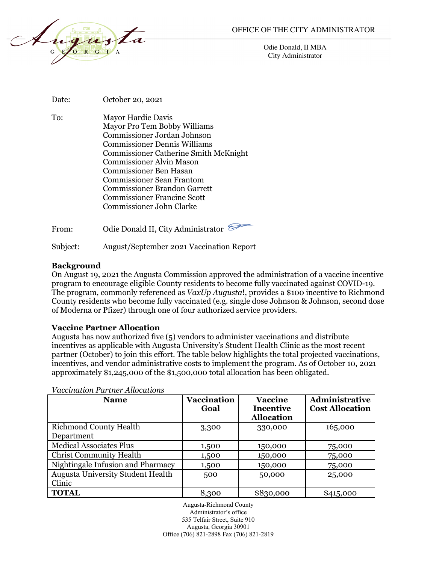

Odie Donald, II MBA City Administrator

| Date:    | October 20, 2021                                                                                                                                                                                                                                                                                                                                                     |
|----------|----------------------------------------------------------------------------------------------------------------------------------------------------------------------------------------------------------------------------------------------------------------------------------------------------------------------------------------------------------------------|
| To:      | Mayor Hardie Davis<br>Mayor Pro Tem Bobby Williams<br>Commissioner Jordan Johnson<br><b>Commissioner Dennis Williams</b><br><b>Commissioner Catherine Smith McKnight</b><br>Commissioner Alvin Mason<br>Commissioner Ben Hasan<br><b>Commissioner Sean Frantom</b><br><b>Commissioner Brandon Garrett</b><br>Commissioner Francine Scott<br>Commissioner John Clarke |
| From:    | Odie Donald II, City Administrator                                                                                                                                                                                                                                                                                                                                   |
| Subject: | <b>August/September 2021 Vaccination Report</b>                                                                                                                                                                                                                                                                                                                      |

#### **Background**

On August 19, 2021 the Augusta Commission approved the administration of a vaccine incentive program to encourage eligible County residents to become fully vaccinated against COVID-19. The program, commonly referenced as *VaxUp Augusta*!, provides a \$100 incentive to Richmond County residents who become fully vaccinated (e.g. single dose Johnson & Johnson, second dose of Moderna or Pfizer) through one of four authorized service providers.

#### **Vaccine Partner Allocation**

Augusta has now authorized five (5) vendors to administer vaccinations and distribute incentives as applicable with Augusta University's Student Health Clinic as the most recent partner (October) to join this effort. The table below highlights the total projected vaccinations, incentives, and vendor administrative costs to implement the program. As of October 10, 2021 approximately \$1,245,000 of the \$1,500,000 total allocation has been obligated.

| <b>Name</b>                                        | <b>Vaccination</b><br>Goal | <b>Vaccine</b><br><b>Incentive</b><br><b>Allocation</b> | Administrative<br><b>Cost Allocation</b> |
|----------------------------------------------------|----------------------------|---------------------------------------------------------|------------------------------------------|
| <b>Richmond County Health</b><br>Department        | 3,300                      | 330,000                                                 | 165,000                                  |
| <b>Medical Associates Plus</b>                     | 1,500                      | 150,000                                                 | 75,000                                   |
| <b>Christ Community Health</b>                     | 1,500                      | 150,000                                                 | 75,000                                   |
| Nightingale Infusion and Pharmacy                  | 1,500                      | 150,000                                                 | 75,000                                   |
| <b>Augusta University Student Health</b><br>Clinic | 500                        | 50,000                                                  | 25,000                                   |
| <b>TOTAL</b>                                       | 8,300                      | \$830,000                                               | \$415,000                                |

*Vaccination Partner Allocations*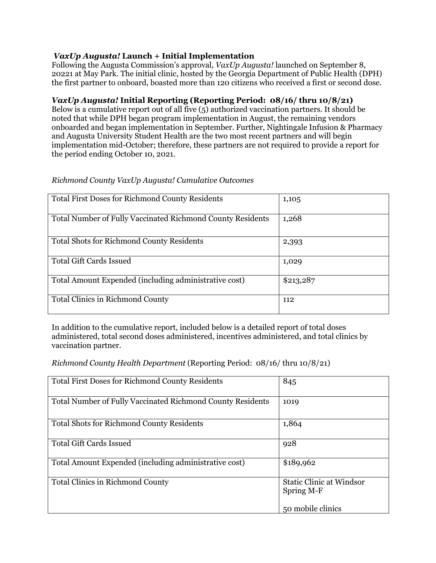### *VaxUp Augusta!* **Launch + Initial Implementation**

Following the Augusta Commission's approval, *VaxUp Augusta!* launched on September 8, 20221 at May Park. The initial clinic, hosted by the Georgia Department of Public Health (DPH) the first partner to onboard, boasted more than 120 citizens who received a first or second dose.

# *VaxUp Augusta!* **Initial Reporting (Reporting Period: 08/16/ thru 10/8/21)**

Below is a cumulative report out of all five (5) authorized vaccination partners. It should be noted that while DPH began program implementation in August, the remaining vendors onboarded and began implementation in September. Further, Nightingale Infusion & Pharmacy and Augusta University Student Health are the two most recent partners and will begin implementation mid-October; therefore, these partners are not required to provide a report for the period ending October 10, 2021.

| <b>Total First Doses for Richmond County Residents</b>     | 1,105     |
|------------------------------------------------------------|-----------|
| Total Number of Fully Vaccinated Richmond County Residents | 1,268     |
| <b>Total Shots for Richmond County Residents</b>           | 2,393     |
| <b>Total Gift Cards Issued</b>                             | 1,029     |
| Total Amount Expended (including administrative cost)      | \$213,287 |
| <b>Total Clinics in Richmond County</b>                    | 112       |

### *Richmond County VaxUp Augusta! Cumulative Outcomes*

In addition to the cumulative report, included below is a detailed report of total doses administered, total second doses administered, incentives administered, and total clinics by vaccination partner.

*Richmond County Health Department* (Reporting Period: 08/16/ thru 10/8/21)

| <b>Total First Doses for Richmond County Residents</b>     | 845                                           |
|------------------------------------------------------------|-----------------------------------------------|
| Total Number of Fully Vaccinated Richmond County Residents | 1019                                          |
| <b>Total Shots for Richmond County Residents</b>           | 1,864                                         |
| <b>Total Gift Cards Issued</b>                             | 928                                           |
| Total Amount Expended (including administrative cost)      | \$189,962                                     |
| <b>Total Clinics in Richmond County</b>                    | <b>Static Clinic at Windsor</b><br>Spring M-F |
|                                                            | 50 mobile clinics                             |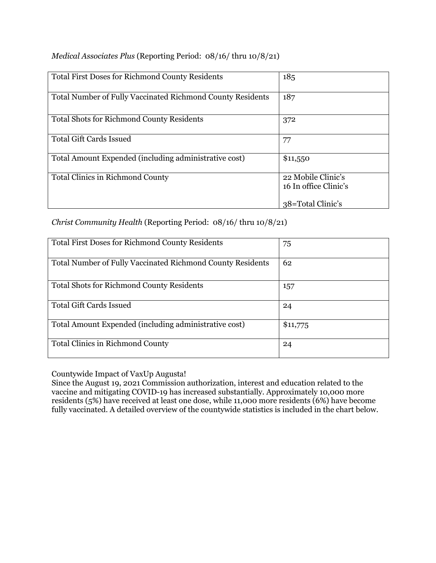| <b>Total First Doses for Richmond County Residents</b>            | 185                                         |
|-------------------------------------------------------------------|---------------------------------------------|
| <b>Total Number of Fully Vaccinated Richmond County Residents</b> | 187                                         |
| <b>Total Shots for Richmond County Residents</b>                  | 372                                         |
| <b>Total Gift Cards Issued</b>                                    | 77                                          |
| Total Amount Expended (including administrative cost)             | \$11,550                                    |
| <b>Total Clinics in Richmond County</b>                           | 22 Mobile Clinic's<br>16 In office Clinic's |
|                                                                   | 38=Total Clinic's                           |

*Medical Associates Plus* (Reporting Period: 08/16/ thru 10/8/21)

*Christ Community Health* (Reporting Period: 08/16/ thru 10/8/21)

| <b>Total First Doses for Richmond County Residents</b>     | 75       |
|------------------------------------------------------------|----------|
| Total Number of Fully Vaccinated Richmond County Residents | 62       |
| <b>Total Shots for Richmond County Residents</b>           | 157      |
| <b>Total Gift Cards Issued</b>                             | 24       |
| Total Amount Expended (including administrative cost)      | \$11,775 |
| <b>Total Clinics in Richmond County</b>                    | 24       |

Countywide Impact of VaxUp Augusta!

Since the August 19, 2021 Commission authorization, interest and education related to the vaccine and mitigating COVID-19 has increased substantially. Approximately 10,000 more residents (5%) have received at least one dose, while 11,000 more residents (6%) have become fully vaccinated. A detailed overview of the countywide statistics is included in the chart below.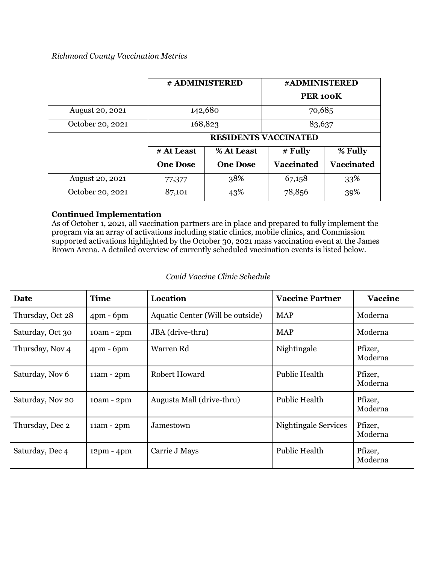### *Richmond County Vaccination Metrics*

|                        |                             | # ADMINISTERED  | #ADMINISTERED        |                   |
|------------------------|-----------------------------|-----------------|----------------------|-------------------|
|                        |                             |                 | PER <sub>100</sub> K |                   |
| <b>August 20, 2021</b> | 142,680                     |                 | 70,685               |                   |
| October 20, 2021       |                             | 168,823         | 83,637               |                   |
|                        | <b>RESIDENTS VACCINATED</b> |                 |                      |                   |
|                        | # At Least                  | % At Least      | $#$ Fully            | % Fully           |
|                        | <b>One Dose</b>             | <b>One Dose</b> | <b>Vaccinated</b>    | <b>Vaccinated</b> |
| <b>August 20, 2021</b> | 77,377                      | 38%             | 67,158               | 33%               |
| October 20, 2021       | 87,101                      | 43%             | 78,856               | 39%               |

# **Continued Implementation**

As of October 1, 2021, all vaccination partners are in place and prepared to fully implement the program via an array of activations including static clinics, mobile clinics, and Commission supported activations highlighted by the October 30, 2021 mass vaccination event at the James Brown Arena. A detailed overview of currently scheduled vaccination events is listed below.

| <b>Date</b>      | <b>Time</b>  | Location                         | <b>Vaccine Partner</b> | <b>Vaccine</b>     |
|------------------|--------------|----------------------------------|------------------------|--------------------|
| Thursday, Oct 28 | $4$ pm - 6pm | Aquatic Center (Will be outside) | <b>MAP</b>             | Moderna            |
| Saturday, Oct 30 | 10am - 2pm   | JBA (drive-thru)                 | <b>MAP</b>             | Moderna            |
| Thursday, Nov 4  | $4pm - 6pm$  | Warren Rd                        | Nightingale            | Pfizer,<br>Moderna |
| Saturday, Nov 6  | $11am - 2pm$ | Robert Howard                    | <b>Public Health</b>   | Pfizer,<br>Moderna |
| Saturday, Nov 20 | 10am - 2pm   | Augusta Mall (drive-thru)        | <b>Public Health</b>   | Pfizer,<br>Moderna |
| Thursday, Dec 2  | $11am - 2pm$ | Jamestown                        | Nightingale Services   | Pfizer,<br>Moderna |
| Saturday, Dec 4  | $12pm - 4pm$ | Carrie J Mays                    | <b>Public Health</b>   | Pfizer,<br>Moderna |

#### *Covid Vaccine Clinic Schedule*